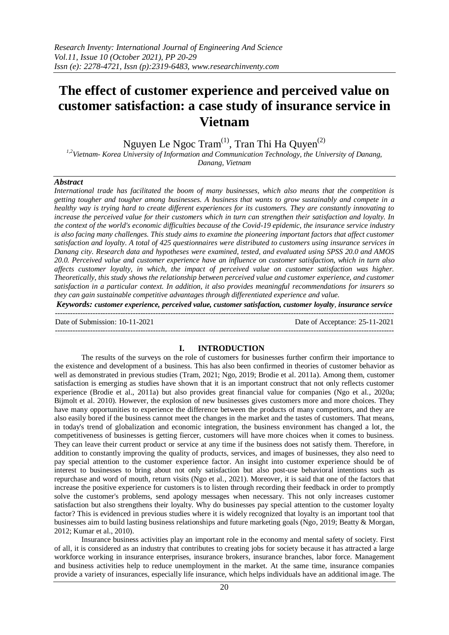# **The effect of customer experience and perceived value on customer satisfaction: a case study of insurance service in Vietnam**

Nguyen Le Ngoc  $\text{Tram}^{(1)}$ , Tran Thi Ha Quyen<sup>(2)</sup>

*1,2Vietnam- Korea University of Information and Communication Technology, the University of Danang, Danang, Vietnam*

## *Abstract*

*International trade has facilitated the boom of many businesses, which also means that the competition is getting tougher and tougher among businesses. A business that wants to grow sustainably and compete in a healthy way is trying hard to create different experiences for its customers. They are constantly innovating to increase the perceived value for their customers which in turn can strengthen their satisfaction and loyalty. In the context of the world's economic difficulties because of the Covid-19 epidemic, the insurance service industry is also facing many challenges. This study aims to examine the pioneering important factors that affect customer satisfaction and loyalty. A total of 425 questionnaires were distributed to customers using insurance services in Danang city. Research data and hypotheses were examined, tested, and evaluated using SPSS 20.0 and AMOS 20.0. Perceived value and customer experience have an influence on customer satisfaction, which in turn also affects customer loyalty, in which, the impact of perceived value on customer satisfaction was higher. Theoretically, this study shows the relationship between perceived value and customer experience, and customer satisfaction in a particular context. In addition, it also provides meaningful recommendations for insurers so they can gain sustainable competitive advantages through differentiated experience and value.*

*Keywords: customer experience, perceived value, customer satisfaction, customer loyalty, insurance service* ---------------------------------------------------------------------------------------------------------------------------------------

---------------------------------------------------------------------------------------------------------------------------------------

Date of Submission: 10-11-2021 Date of Acceptance: 25-11-2021

#### **I. INTRODUCTION**

The results of the surveys on the role of customers for businesses further confirm their importance to the existence and development of a business. This has also been confirmed in theories of customer behavior as well as demonstrated in previous studies (Tram, 2021; Ngo, 2019; Brodie et al. 2011a). Among them, customer satisfaction is emerging as studies have shown that it is an important construct that not only reflects customer experience (Brodie et al., 2011a) but also provides great financial value for companies (Ngo et al., 2020a; Bijmolt et al. 2010). However, the explosion of new businesses gives customers more and more choices. They have many opportunities to experience the difference between the products of many competitors, and they are also easily bored if the business cannot meet the changes in the market and the tastes of customers. That means, in today's trend of globalization and economic integration, the business environment has changed a lot, the competitiveness of businesses is getting fiercer, customers will have more choices when it comes to business. They can leave their current product or service at any time if the business does not satisfy them. Therefore, in addition to constantly improving the quality of products, services, and images of businesses, they also need to pay special attention to the customer experience factor. An insight into customer experience should be of interest to businesses to bring about not only satisfaction but also post-use behavioral intentions such as repurchase and word of mouth, return visits (Ngo et al., 2021). Moreover, it is said that one of the factors that increase the positive experience for customers is to listen through recording their feedback in order to promptly solve the customer's problems, send apology messages when necessary. This not only increases customer satisfaction but also strengthens their loyalty. Why do businesses pay special attention to the customer loyalty factor? This is evidenced in previous studies where it is widely recognized that loyalty is an important tool that businesses aim to build lasting business relationships and future marketing goals (Ngo, 2019; Beatty & Morgan, 2012; Kumar et al., 2010).

Insurance business activities play an important role in the economy and mental safety of society. First of all, it is considered as an industry that contributes to creating jobs for society because it has attracted a large workforce working in insurance enterprises, insurance brokers, insurance branches, labor force. Management and business activities help to reduce unemployment in the market. At the same time, insurance companies provide a variety of insurances, especially life insurance, which helps individuals have an additional image. The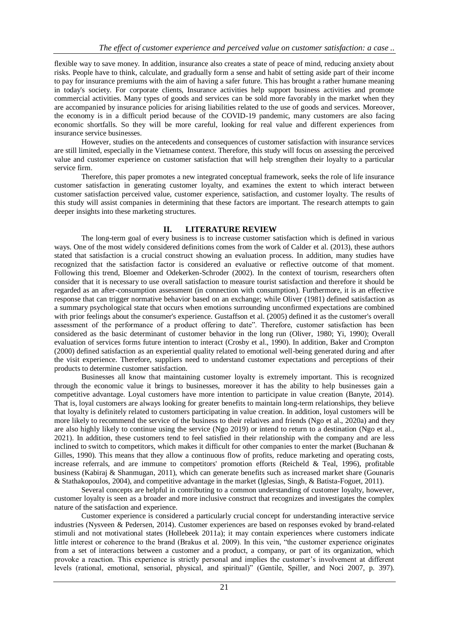flexible way to save money. In addition, insurance also creates a state of peace of mind, reducing anxiety about risks. People have to think, calculate, and gradually form a sense and habit of setting aside part of their income to pay for insurance premiums with the aim of having a safer future. This has brought a rather humane meaning in today's society. For corporate clients, Insurance activities help support business activities and promote commercial activities. Many types of goods and services can be sold more favorably in the market when they are accompanied by insurance policies for arising liabilities related to the use of goods and services. Moreover, the economy is in a difficult period because of the COVID-19 pandemic, many customers are also facing economic shortfalls. So they will be more careful, looking for real value and different experiences from insurance service businesses.

However, studies on the antecedents and consequences of customer satisfaction with insurance services are still limited, especially in the Vietnamese context. Therefore, this study will focus on assessing the perceived value and customer experience on customer satisfaction that will help strengthen their loyalty to a particular service firm.

Therefore, this paper promotes a new integrated conceptual framework, seeks the role of life insurance customer satisfaction in generating customer loyalty, and examines the extent to which interact between customer satisfaction perceived value, customer experience, satisfaction, and customer loyalty. The results of this study will assist companies in determining that these factors are important. The research attempts to gain deeper insights into these marketing structures.

## **II. LITERATURE REVIEW**

The long-term goal of every business is to increase customer satisfaction which is defined in various ways. One of the most widely considered definitions comes from the work of Calder et al. (2013), these authors stated that satisfaction is a crucial construct showing an evaluation process. In addition, many studies have recognized that the satisfaction factor is considered an evaluative or reflective outcome of that moment. Following this trend, Bloemer and Odekerken-Schroder (2002). In the context of tourism, researchers often consider that it is necessary to use overall satisfaction to measure tourist satisfaction and therefore it should be regarded as an after-consumption assessment (in connection with consumption). Furthermore, it is an effective response that can trigger normative behavior based on an exchange; while Oliver (1981) defined satisfaction as a summary psychological state that occurs when emotions surrounding unconfirmed expectations are combined with prior feelings about the consumer's experience. Gustaffson et al. (2005) defined it as the customer's overall assessment of the performance of a product offering to date". Therefore, customer satisfaction has been considered as the basic determinant of customer behavior in the long run (Oliver, 1980; Yi, 1990); Overall evaluation of services forms future intention to interact (Crosby et al., 1990). In addition, Baker and Crompton (2000) defined satisfaction as an experiential quality related to emotional well-being generated during and after the visit experience. Therefore, suppliers need to understand customer expectations and perceptions of their products to determine customer satisfaction.

Businesses all know that maintaining customer loyalty is extremely important. This is recognized through the economic value it brings to businesses, moreover it has the ability to help businesses gain a competitive advantage. Loyal customers have more intention to participate in value creation (Banyte, 2014). That is, loyal customers are always looking for greater benefits to maintain long-term relationships, they believe that loyalty is definitely related to customers participating in value creation. In addition, loyal customers will be more likely to recommend the service of the business to their relatives and friends (Ngo et al., 2020a) and they are also highly likely to continue using the service (Ngo 2019) or intend to return to a destination (Ngo et al., 2021). In addition, these customers tend to feel satisfied in their relationship with the company and are less inclined to switch to competitors, which makes it difficult for other companies to enter the market (Buchanan & Gilles, 1990). This means that they allow a continuous flow of profits, reduce marketing and operating costs, increase referrals, and are immune to competitors' promotion efforts (Reicheld & Teal, 1996), profitable business (Kabiraj & Shanmugan, 2011), which can generate benefits such as increased market share (Gounaris & Stathakopoulos, 2004), and competitive advantage in the market (Iglesias, Singh, & Batista-Foguet, 2011).

Several concepts are helpful in contributing to a common understanding of customer loyalty, however, customer loyalty is seen as a broader and more inclusive construct that recognizes and investigates the complex nature of the satisfaction and experience.

Customer experience is considered a particularly crucial concept for understanding interactive service industries (Nysveen & Pedersen, 2014). Customer experiences are based on responses evoked by brand-related stimuli and not motivational states (Hollebeek 2011a); it may contain experiences where customers indicate little interest or coherence to the brand (Brakus et al. 2009). In this vein, "the customer experience originates from a set of interactions between a customer and a product, a company, or part of its organization, which provoke a reaction. This experience is strictly personal and implies the customer's involvement at different levels (rational, emotional, sensorial, physical, and spiritual)" (Gentile, Spiller, and Noci 2007, p. 397).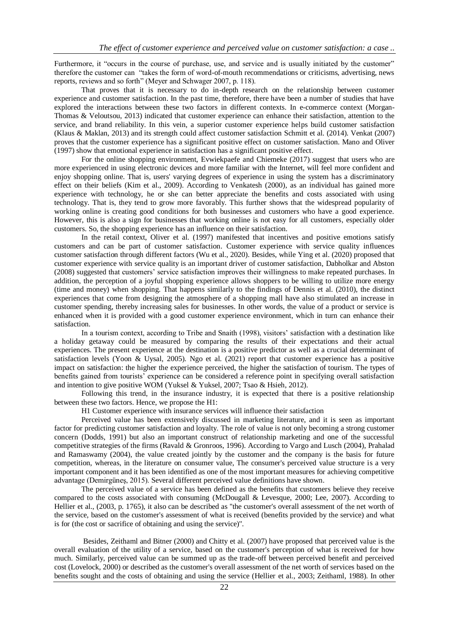Furthermore, it "occurs in the course of purchase, use, and service and is usually initiated by the customer" therefore the customer can "takes the form of word-of-mouth recommendations or criticisms, advertising, news reports, reviews and so forth" (Meyer and Schwager 2007, p. 118).

That proves that it is necessary to do in-depth research on the relationship between customer experience and customer satisfaction. In the past time, therefore, there have been a number of studies that have explored the interactions between these two factors in different contexts. In e-commerce context (Morgan-Thomas & Veloutsou, 2013) indicated that customer experience can enhance their satisfaction, attention to the service, and brand reliability. In this vein, a superior customer experience helps build customer satisfaction (Klaus & Maklan, 2013) and its strength could affect customer satisfaction Schmitt et al. (2014). Venkat (2007) proves that the customer experience has a significant positive effect on customer satisfaction. Mano and Oliver (1997) show that emotional experience in satisfaction has a significant positive effect.

For the online shopping environment, Evwiekpaefe and Chiemeke (2017) suggest that users who are more experienced in using electronic devices and more familiar with the Internet, will feel more confident and enjoy shopping online. That is, users' varying degrees of experience in using the system has a discriminatory effect on their beliefs (Kim et al., 2009). According to Venkatesh (2000), as an individual has gained more experience with technology, he or she can better appreciate the benefits and costs associated with using technology. That is, they tend to grow more favorably. This further shows that the widespread popularity of working online is creating good conditions for both businesses and customers who have a good experience. However, this is also a sign for businesses that working online is not easy for all customers, especially older customers. So, the shopping experience has an influence on their satisfaction.

In the retail context, Oliver et al. (1997) manifested that incentives and positive emotions satisfy customers and can be part of customer satisfaction. Customer experience with service quality influences customer satisfaction through different factors (Wu et al., 2020). Besides, while Ying et al. (2020) proposed that customer experience with service quality is an important driver of customer satisfaction, Dabholkar and Abston (2008) suggested that customers' service satisfaction improves their willingness to make repeated purchases. In addition, the perception of a joyful shopping experience allows shoppers to be willing to utilize more energy (time and money) when shopping. That happens similarly to the findings of Dennis et al. (2010), the distinct experiences that come from designing the atmosphere of a shopping mall have also stimulated an increase in customer spending, thereby increasing sales for businesses. In other words, the value of a product or service is enhanced when it is provided with a good customer experience environment, which in turn can enhance their satisfaction.

In a tourism context, according to Tribe and Snaith (1998), visitors' satisfaction with a destination like a holiday getaway could be measured by comparing the results of their expectations and their actual experiences. The present experience at the destination is a positive predictor as well as a crucial determinant of satisfaction levels (Yoon & Uysal, 2005). Ngo et al. (2021) report that customer experience has a positive impact on satisfaction: the higher the experience perceived, the higher the satisfaction of tourism. The types of benefits gained from tourists' experience can be considered a reference point in specifying overall satisfaction and intention to give positive WOM (Yuksel & Yuksel, 2007; Tsao & Hsieh, 2012).

Following this trend, in the insurance industry, it is expected that there is a positive relationship between these two factors. Hence, we propose the H1:

H1 Customer experience with insurance services will influence their satisfaction

Perceived value has been extensively discussed in marketing literature, and it is seen as important factor for predicting customer satisfaction and loyalty. The role of value is not only becoming a strong customer concern (Dodds, 1991) but also an important construct of relationship marketing and one of the successful competitive strategies of the firms (Ravald & Gronroos, 1996). According to Vargo and Lusch (2004), Prahalad and Ramaswamy (2004), the value created jointly by the customer and the company is the basis for future competition, whereas, in the literature on consumer value, The consumer's perceived value structure is a very important component and it has been identified as one of the most important measures for achieving competitive advantage (Demirgüneş, 2015). Several different perceived value definitions have shown.

The perceived value of a service has been defined as the benefits that customers believe they receive compared to the costs associated with consuming (McDougall & Levesque, 2000; Lee, 2007). According to Hellier et al., (2003, p. 1765), it also can be described as ''the customer's overall assessment of the net worth of the service, based on the customer's assessment of what is received (benefits provided by the service) and what is for (the cost or sacrifice of obtaining and using the service)''.

Besides, Zeithaml and Bitner (2000) and Chitty et al. (2007) have proposed that perceived value is the overall evaluation of the utility of a service, based on the customer's perception of what is received for how much. Similarly, perceived value can be summed up as the trade-off between perceived benefit and perceived cost (Lovelock, 2000) or described as the customer's overall assessment of the net worth of services based on the benefits sought and the costs of obtaining and using the service (Hellier et al., 2003; Zeithaml, 1988). In other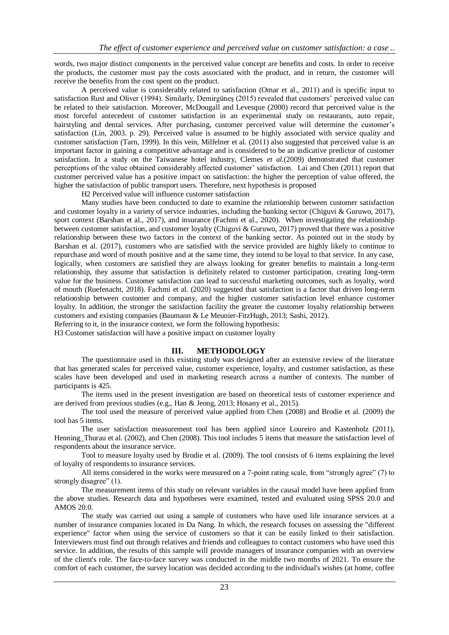words, two major distinct components in the perceived value concept are benefits and costs. In order to receive the products, the customer must pay the costs associated with the product, and in return, the customer will receive the benefits from the cost spent on the product.

A perceived value is considerably related to satisfaction (Omar et al., 2011) and is specific input to satisfaction Rust and Oliver (1994). Similarly, Demirgüneş (2015) revealed that customers' perceived value can be related to their satisfaction. Moreover, McDougall and Levesque (2000) record that perceived value is the most forceful antecedent of customer satisfaction in an experimental study on restaurants, auto repair, hairstyling and dental services. After purchasing, customer perceived value will determine the customer's satisfaction (Lin, 2003. p. 29). Perceived value is assumed to be highly associated with service quality and customer satisfaction (Tarn, 1999). In this vein, Milfelner et al. (2011) also suggested that perceived value is an important factor in gaining a competitive advantage and is considered to be an indicative predictor of customer satisfaction. In a study on the Taiwanese hotel industry, Clemes *et al.*(2009) demonstrated that customer perceptions of the value obtained considerably affected customer' satisfaction. Lai and Chen (2011) report that customer perceived value has a positive impact on satisfaction: the higher the perception of value offered, the higher the satisfaction of public transport users. Therefore, next hypothesis is proposed

H2 Perceived value will influence customer satisfaction

Many studies have been conducted to date to examine the relationship between customer satisfaction and customer loyalty in a variety of service industries, including the banking sector (Chiguvi & Guruwo, 2017), sport context (Barshan et al., 2017), and insurance (Fachmi et al., 2020). When investigating the relationship between customer satisfaction, and customer loyalty (Chiguvi & Guruwo, 2017) proved that there was a positive relationship between these two factors in the context of the banking sector. As pointed out in the study by Barshan et al. (2017), customers who are satisfied with the service provided are highly likely to continue to repurchase and word of mouth positive and at the same time, they intend to be loyal to that service. In any case, logically, when customers are satisfied they are always looking for greater benefits to maintain a long-term relationship, they assume that satisfaction is definitely related to customer participation, creating long-term value for the business. Customer satisfaction can lead to successful marketing outcomes, such as loyalty, word of mouth (Ruefenacht, 2018). Fachmi et al. (2020) suggested that satisfaction is a factor that driven long-term relationship between customer and company, and the higher customer satisfaction level enhance customer loyalty. In addition, the stronger the satisfaction facility the greater the customer loyalty relationship between customers and existing companies (Baumann & Le Meunier-FitzHugh, 2013; Sashi, 2012).

Referring to it, in the insurance context, we form the following hypothesis:

H3 Customer satisfaction will have a positive impact on customer loyalty

## **III. METHODOLOGY**

The questionnaire used in this existing study was designed after an extensive review of the literature that has generated scales for perceived value, customer experience, loyalty, and customer satisfaction, as these scales have been developed and used in marketing research across a number of contexts. The number of participants is 425.

The items used in the present investigation are based on theoretical tests of customer experience and are derived from previous studies (e.g., Han & Jeong, 2013; Hosany et al., 2015).

The tool used the measure of perceived value applied from Chen (2008) and Brodie et al. (2009) the tool has 5 items.

The user satisfaction measurement tool has been applied since Loureiro and Kastenholz (2011), Henning Thurau et al. (2002), and Chen (2008). This tool includes 5 items that measure the satisfaction level of respondents about the insurance service.

Tool to measure loyalty used by Brodie et al. (2009). The tool consists of 6 items explaining the level of loyalty of respondents to insurance services.

All items considered in the works were measured on a 7-point rating scale, from "strongly agree" (7) to strongly disagree" (1).

The measurement items of this study on relevant variables in the causal model have been applied from the above studies. Research data and hypotheses were examined, tested and evaluated using SPSS 20.0 and AMOS 20.0.

The study was carried out using a sample of customers who have used life insurance services at a number of insurance companies located in Da Nang. In which, the research focuses on assessing the "different experience" factor when using the service of customers so that it can be easily linked to their satisfaction. Interviewers must find out through relatives and friends and colleagues to contact customers who have used this service. In addition, the results of this sample will provide managers of insurance companies with an overview of the client's role. The face-to-face survey was conducted in the middle two months of 2021. To ensure the comfort of each customer, the survey location was decided according to the individual's wishes (at home, coffee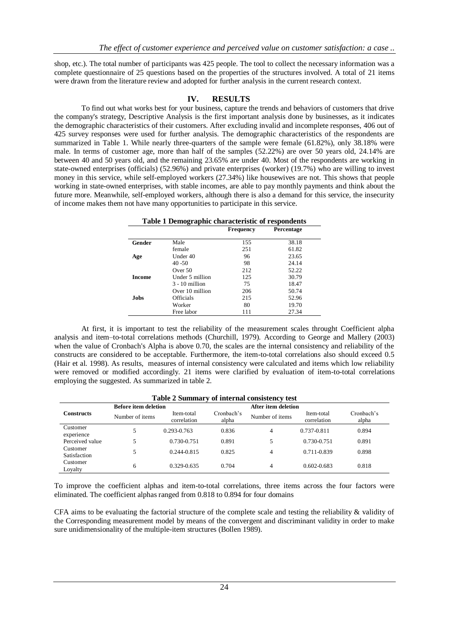shop, etc.). The total number of participants was 425 people. The tool to collect the necessary information was a complete questionnaire of 25 questions based on the properties of the structures involved. A total of 21 items were drawn from the literature review and adopted for further analysis in the current research context.

## **IV. RESULTS**

To find out what works best for your business, capture the trends and behaviors of customers that drive the company's strategy, Descriptive Analysis is the first important analysis done by businesses, as it indicates the demographic characteristics of their customers. After excluding invalid and incomplete responses, 406 out of 425 survey responses were used for further analysis. The demographic characteristics of the respondents are summarized in Table 1. While nearly three-quarters of the sample were female (61.82%), only 38.18% were male. In terms of customer age, more than half of the samples (52.22%) are over 50 years old, 24.14% are between 40 and 50 years old, and the remaining 23.65% are under 40. Most of the respondents are working in state-owned enterprises (officials) (52.96%) and private enterprises (worker) (19.7%) who are willing to invest money in this service, while self-employed workers (27.34%) like housewives are not. This shows that people working in state-owned enterprises, with stable incomes, are able to pay monthly payments and think about the future more. Meanwhile, self-employed workers, although there is also a demand for this service, the insecurity of income makes them not have many opportunities to participate in this service.

| Table 1 Demographic characteristic of respondents |                  |                                |       |  |
|---------------------------------------------------|------------------|--------------------------------|-------|--|
|                                                   |                  | <b>Frequency</b><br>Percentage |       |  |
| Gender                                            | Male             | 155                            | 38.18 |  |
|                                                   | female           | 251                            | 61.82 |  |
| Age                                               | Under 40         | 96                             | 23.65 |  |
|                                                   | $40 - 50$        | 98                             | 24.14 |  |
|                                                   | Over $50$        | 212                            | 52.22 |  |
| <b>Income</b>                                     | Under 5 million  | 125                            | 30.79 |  |
|                                                   | $3 - 10$ million | 75                             | 18.47 |  |
|                                                   | Over 10 million  | 206                            | 50.74 |  |
| <b>Jobs</b>                                       | Officials        | 215                            | 52.96 |  |
|                                                   | Worker           | 80                             | 19.70 |  |
|                                                   | Free labor       | 111                            | 27.34 |  |

At first, it is important to test the reliability of the measurement scales throught Coefficient alpha analysis and item–to-total correlations methods (Churchill, 1979). According to George and Mallery (2003) when the value of Cronbach's Alpha is above 0.70, the scales are the internal consistency and reliability of the constructs are considered to be acceptable. Furthermore, the item-to-total correlations also should exceed 0.5 (Hair et al. 1998). As results, measures of internal consistency were calculated and items which low reliability were removed or modified accordingly. 21 items were clarified by evaluation of item-to-total correlations employing the suggested. As summarized in table 2.

| Table 2 Summary of internal consistency test       |                 |                           |                     |                 |                           |                     |
|----------------------------------------------------|-----------------|---------------------------|---------------------|-----------------|---------------------------|---------------------|
| After item deletion<br><b>Before item deletion</b> |                 |                           |                     |                 |                           |                     |
| <b>Constructs</b>                                  | Number of items | Item-total<br>correlation | Cronbach's<br>alpha | Number of items | Item-total<br>correlation | Cronbach's<br>alpha |
| Customer<br>experience                             |                 | 0.293-0.763               | 0.836               | 4               | 0.737-0.811               | 0.894               |
| Perceived value                                    |                 | 0.730-0.751               | 0.891               | 5               | 0.730-0.751               | 0.891               |
| Customer<br>Satisfaction                           |                 | $0.244 - 0.815$           | 0.825               | 4               | 0.711-0.839               | 0.898               |
| Customer<br>Loyalty                                | 6               | 0.329-0.635               | 0.704               | 4               | $0.602 - 0.683$           | 0.818               |

To improve the coefficient alphas and item-to-total correlations, three items across the four factors were eliminated. The coefficient alphas ranged from 0.818 to 0.894 for four domains

CFA aims to be evaluating the factorial structure of the complete scale and testing the reliability & validity of the Corresponding measurement model by means of the convergent and discriminant validity in order to make sure unidimensionality of the multiple-item structures (Bollen 1989).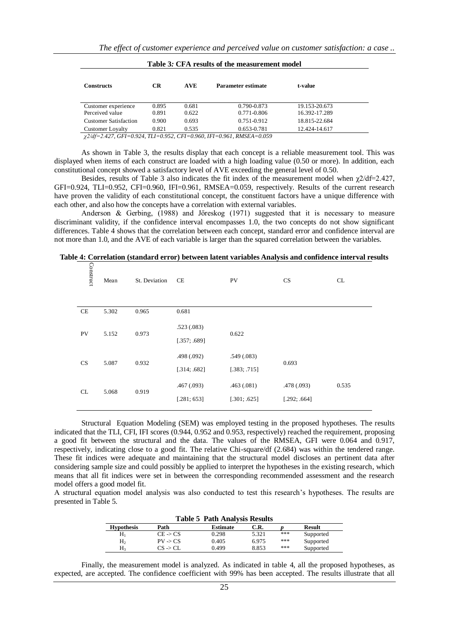| Table 5: CPA results of the measurement model |       |            |                    |               |  |  |  |
|-----------------------------------------------|-------|------------|--------------------|---------------|--|--|--|
| <b>Constructs</b>                             | CR.   | <b>AVE</b> | Parameter estimate | t-value       |  |  |  |
| Customer experience                           | 0.895 | 0.681      | 0.790-0.873        | 19.153-20.673 |  |  |  |
| Perceived value                               | 0.891 | 0.622      | 0.771-0.806        | 16.392-17.289 |  |  |  |
| <b>Customer Satisfaction</b>                  | 0.900 | 0.693      | 0.751-0.912        | 18.815-22.684 |  |  |  |
| Customer Loyalty                              | 0.821 | 0.535      | 0.653-0.781        | 12.424-14.617 |  |  |  |

|  |  |  | Table 3: CFA results of the measurement model |  |
|--|--|--|-----------------------------------------------|--|
|--|--|--|-----------------------------------------------|--|

*χ2/df=2.427, GFI=0.924, TLI=0.952, CFI=0.960, IFI=0.961, RMSEA=0.059*

As shown in Table 3, the results display that each concept is a reliable measurement tool. This was displayed when items of each construct are loaded with a high loading value (0.50 or more). In addition, each constitutional concept showed a satisfactory level of AVE exceeding the general level of 0.50.

Besides, results of Table 3 also indicates the fit index of the measurement model when  $\chi$ 2/df=2.427, GFI=0.924, TLI=0.952, CFI=0.960, IFI=0.961, RMSEA=0.059, respectively. Results of the current research have proven the validity of each constitutional concept, the constituent factors have a unique difference with each other, and also how the concepts have a correlation with external variables.

Anderson & Gerbing, (1988) and Jőreskog (1971) suggested that it is necessary to measure discriminant validity, if the confidence interval encompasses 1.0, the two concepts do not show significant differences. Table 4 shows that the correlation between each concept, standard error and confidence interval are not more than 1.0, and the AVE of each variable is larger than the squared correlation between the variables.

| Construct | Mean  | St. Deviation | CE                         | PV                         | <b>CS</b>                   | CL    |
|-----------|-------|---------------|----------------------------|----------------------------|-----------------------------|-------|
| CE        | 5.302 | 0.965         | 0.681                      |                            |                             |       |
| PV        | 5.152 | 0.973         | .523(.083)<br>[.357; .689] | 0.622                      |                             |       |
| CS        | 5.087 | 0.932         | .498(.092)<br>[.314; .682] | .549(.083)<br>[.383; .715] | 0.693                       |       |
| CL        | 5.068 | 0.919         | .467(.093)<br>[.281; 653]  | .463(.081)<br>[.301; .625] | .478 (.093)<br>[.292; .664] | 0.535 |

**Table 4: Correlation (standard error) between latent variables Analysis and confidence interval results**

Structural Equation Modeling (SEM) was employed testing in the proposed hypotheses. The results indicated that the TLI, CFI, IFI scores (0.944, 0.952 and 0.953, respectively) reached the requirement, proposing a good fit between the structural and the data. The values of the RMSEA, GFI were 0.064 and 0.917, respectively, indicating close to a good fit. The relative Chi-square/df (2.684) was within the tendered range. These fit indices were adequate and maintaining that the structural model discloses an pertinent data after considering sample size and could possibly be applied to interpret the hypotheses in the existing research, which means that all fit indices were set in between the corresponding recommended assessment and the research model offers a good model fit.

A structural equation model analysis was also conducted to test this research's hypotheses. The results are presented in Table 5.

| <b>Table 5 Path Analysis Results</b> |                     |                 |       |     |               |  |
|--------------------------------------|---------------------|-----------------|-------|-----|---------------|--|
| <b>Hypothesis</b>                    | Path                | <b>Estimate</b> | C.R.  |     | <b>Result</b> |  |
| $H_1$                                | $CE \rightarrow CS$ | 0.298           | 5.321 | *** | Supported     |  |
| H <sub>2</sub>                       | $PV \rightarrow CS$ | 0.405           | 6.975 | *** | Supported     |  |
| $H_3$                                | $CS \rightarrow CL$ | 0.499           | 8.853 | *** | Supported     |  |

Finally, the measurement model is analyzed. As indicated in table 4, all the proposed hypotheses, as expected, are accepted. The confidence coefficient with 99% has been accepted. The results illustrate that all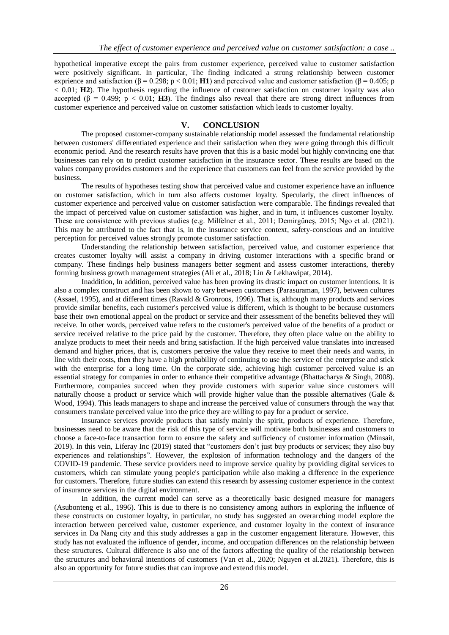hypothetical imperative except the pairs from customer experience, perceived value to customer satisfaction were positively significant. In particular, The finding indicated a strong relationship between customer exprience and satisfaction ( $\beta$  = 0.298; p < 0.01; **H1**) and perceived value and customer satisfaction ( $\beta$  = 0.405; p < 0.01; **H2**). The hypothesis regarding the influence of customer satisfaction on customer loyalty was also accepted (β = 0.499; p < 0.01; **H3**). The findings also reveal that there are strong direct influences from customer experience and perceived value on customer satisfaction which leads to customer loyalty.

## **V. CONCLUSION**

The proposed customer-company sustainable relationship model assessed the fundamental relationship between customers' differentiated experience and their satisfaction when they were going through this difficult economic period. And the research results have proven that this is a basic model but highly convincing one that businesses can rely on to predict customer satisfaction in the insurance sector. These results are based on the values company provides customers and the experience that customers can feel from the service provided by the business.

The results of hypotheses testing show that perceived value and customer experience have an influence on customer satisfaction, which in turn also affects customer loyalty. Specularly, the direct influences of customer experience and perceived value on customer satisfaction were comparable. The findings revealed that the impact of perceived value on customer satisfaction was higher, and in turn, it influences customer loyalty. These are consistence with previous studies (e.g. Milfelner et al., 2011; Demirgüneş, 2015; Ngo et al. (2021). This may be attributed to the fact that is, in the insurance service context, safety-conscious and an intuitive perception for perceived values strongly promote customer satisfaction.

Understanding the relationship between satisfaction, perceived value, and customer experience that creates customer loyalty will assist a company in driving customer interactions with a specific brand or company. These findings help business managers better segment and assess customer interactions, thereby forming business growth management strategies (Ali et al., 2018; Lin & Lekhawipat, 2014).

Inaddition, In addition, perceived value has been proving its drastic impact on customer intentions. It is also a complex construct and has been shown to vary between customers (Parasuraman, 1997), between cultures (Assael, 1995), and at different times (Ravald & Gronroos, 1996). That is, although many products and services provide similar benefits, each customer's perceived value is different, which is thought to be because customers base their own emotional appeal on the product or service and their assessment of the benefits believed they will receive. In other words, perceived value refers to the customer's perceived value of the benefits of a product or service received relative to the price paid by the customer. Therefore, they often place value on the ability to analyze products to meet their needs and bring satisfaction. If the high perceived value translates into increased demand and higher prices, that is, customers perceive the value they receive to meet their needs and wants, in line with their costs, then they have a high probability of continuing to use the service of the enterprise and stick with the enterprise for a long time. On the corporate side, achieving high customer perceived value is an essential strategy for companies in order to enhance their competitive advantage (Bhattacharya & Singh, 2008). Furthermore, companies succeed when they provide customers with superior value since customers will naturally choose a product or service which will provide higher value than the possible alternatives (Gale & Wood, 1994). This leads managers to shape and increase the perceived value of consumers through the way that consumers translate perceived value into the price they are willing to pay for a product or service.

Insurance services provide products that satisfy mainly the spirit, products of experience. Therefore, businesses need to be aware that the risk of this type of service will motivate both businesses and customers to choose a face-to-face transaction form to ensure the safety and sufficiency of customer information (Minsait, 2019). In this vein, Liferay Inc (2019) stated that "customers don't just buy products or services; they also buy experiences and relationships". However, the explosion of information technology and the dangers of the COVID-19 pandemic. These service providers need to improve service quality by providing digital services to customers, which can stimulate young people's participation while also making a difference in the experience for customers. Therefore, future studies can extend this research by assessing customer experience in the context of insurance services in the digital environment.

In addition, the current model can serve as a theoretically basic designed measure for managers (Asubonteng et al., 1996). This is due to there is no consistency among authors in exploring the influence of these constructs on customer loyalty, in particular, no study has suggested an overarching model explore the interaction between perceived value, customer experience, and customer loyalty in the context of insurance services in Da Nang city and this study addresses a gap in the customer engagement literature. However, this study has not evaluated the influence of gender, income, and occupation differences on the relationship between these structures. Cultural difference is also one of the factors affecting the quality of the relationship between the structures and behavioral intentions of customers (Van et al., 2020; Nguyen et al.2021). Therefore, this is also an opportunity for future studies that can improve and extend this model.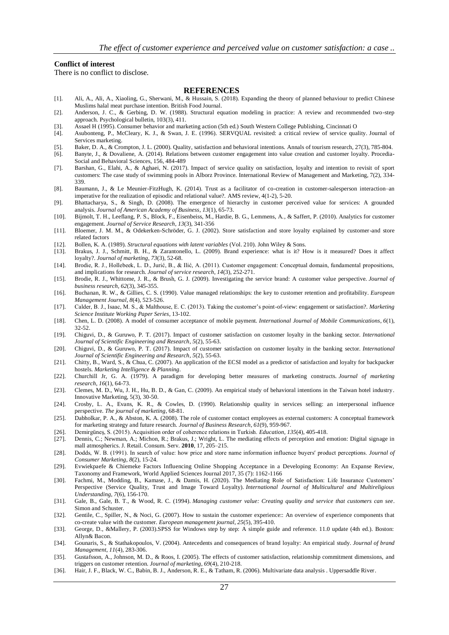#### **Conflict of interest**

There is no conflict to disclose.

#### **REFERENCES**

- [1]. Ali, A., Ali, A., Xiaoling, G., Sherwani, M., & Hussain, S. (2018). Expanding the theory of planned behaviour to predict Chinese Muslims halal meat purchase intention. British Food Journal.
- [2]. Anderson, J. C., & Gerbing, D. W. (1988). Structural equation modeling in practice: A review and recommended two-step approach. Psychological bulletin, 103(3), 411.
- [3]. Assael H (1995). Consumer behavior and marketing action (5th ed.) South Western College Publishing, Cincinnati O
- [4]. Asubonteng, P., McCleary, K. J., & Swan, J. E. (1996). SERVQUAL revisited: a critical review of service quality. Journal of Services marketing.
- [5]. Baker, D. A., & Crompton, J. L. (2000). Quality, satisfaction and behavioral intentions. Annals of tourism research, 27(3), 785-804.
- [6]. Banyte, J., & Dovaliene, A. (2014). Relations between customer engagement into value creation and customer loyalty. Procedia-Social and Behavioral Sciences, 156, 484-489
- [7]. Barshan, G., Elahi, A., & Aghaei, N. (2017). Impact of service quality on satisfaction, loyalty and intention to revisit of sport customers: The case study of swimming pools in Alborz Province. International Review of Management and Marketing, 7(2), 334- 339.
- [8]. Baumann, J., & Le Meunier-FitzHugh, K. (2014). Trust as a facilitator of co-creation in customer-salesperson interaction–an imperative for the realization of episodic and relational value?. AMS review, 4(1-2), 5-20.
- [9]. Bhattacharya, S., & Singh, D. (2008). The emergence of hierarchy in customer perceived value for services: A grounded analysis. *Journal of American Academy of Business*, *13*(1), 65-73.
- [10]. Bijmolt, T. H., Leeflang, P. S., Block, F., Eisenbeiss, M., Hardie, B. G., Lemmens, A., & Saffert, P. (2010). Analytics for customer engagement. *Journal of Service Research*, *13*(3), 341-356
- [11]. Bloemer, J. M. M., & Odekerken-Schröder, G. J. (2002). Store satisfaction and store loyalty explained by customer-and store related factors
- [12]. Bollen, K. A. (1989). *Structural equations with latent variables* (Vol. 210). John Wiley & Sons.
- [13]. Brakus, J. J., Schmitt, B. H., & Zarantonello, L. (2009). Brand experience: what is it? How is it measured? Does it affect loyalty?. *Journal of marketing*, *73*(3), 52-68.
- [14]. Brodie, R. J., Hollebeek, L. D., Jurić, B., & Ilić, A. (2011). Customer engagement: Conceptual domain, fundamental propositions, and implications for research. *Journal of service research*, *14*(3), 252-271.
- [15]. Brodie, R. J., Whittome, J. R., & Brush, G. J. (2009). Investigating the service brand: A customer value perspective. *Journal of business research*, *62*(3), 345-355.
- [16]. Buchanan, R. W., & Gillies, C. S. (1990). Value managed relationships: the key to customer retention and profitability. *European Management Journal*, *8*(4), 523-526.
- [17]. Calder, B. J., Isaac, M. S., & Malthouse, E. C. (2013). Taking the customer's point-of-view: engagement or satisfaction?. *Marketing Science Institute Working Paper Series*, 13-102.
- [18]. Chen, L. D. (2008). A model of consumer acceptance of mobile payment. *International Journal of Mobile Communications*, *6*(1), 32-52.
- [19]. Chiguvi, D., & Guruwo, P. T. (2017). Impact of customer satisfaction on customer loyalty in the banking sector. *International Journal of Scientific Engineering and Research*, *5*(2), 55-63.
- [20]. Chiguvi, D., & Guruwo, P. T. (2017). Impact of customer satisfaction on customer loyalty in the banking sector. *International Journal of Scientific Engineering and Research*, *5*(2), 55-63.
- [21]. Chitty, B., Ward, S., & Chua, C. (2007). An application of the ECSI model as a predictor of satisfaction and loyalty for backpacker hostels. *Marketing Intelligence & Planning*.
- [22]. Churchill Jr, G. A. (1979). A paradigm for developing better measures of marketing constructs. *Journal of marketing research*, *16*(1), 64-73.
- [23]. Clemes, M. D., Wu, J. H., Hu, B. D., & Gan, C. (2009). An empirical study of behavioral intentions in the Taiwan hotel industry. Innovative Marketing, 5(3), 30-50.
- [24]. Crosby, L. A., Evans, K. R., & Cowles, D. (1990). Relationship quality in services selling: an interpersonal influence perspective. *The journal of marketing*, 68-81.
- [25]. Dabholkar, P. A., & Abston, K. A. (2008). The role of customer contact employees as external customers: A conceptual framework for marketing strategy and future research. *Journal of Business Research*, *61*(9), 959-967.
- [26]. Demirgüneş, S. (2015). Acquisition order of coherence relations in Turkish. *Education*, *135*(4), 405-418.
- [27]. Dennis, C.; Newman, A.; Michon, R.; Brakus, J.; Wright, L. The mediating effects of perception and emotion: Digital signage in mall atmospherics. J. Retail. Consum. Serv. **2010**, 17, 205–215.
- [28]. Dodds, W. B. (1991). In search of value: how price and store name information influence buyers′ product perceptions. *Journal of Consumer Marketing*, *8*(2), 15-24.
- [29]. Evwiekpaefe & Chiemeke Factors Influencing Online Shopping Acceptance in a Developing Economy: An Expanse Review, Taxonomy and Framework, World Applied Sciences Journal 2017, 35 (7): 1162-1166
- [30]. Fachmi, M., Modding, B., Kamase, J., & Damis, H. (2020). The Mediating Role of Satisfaction: Life Insurance Customers' Perspective (Service Quality, Trust and Image Toward Loyalty). *International Journal of Multicultural and Multireligious Understanding*, *7*(6), 156-170.
- [31]. Gale, B., Gale, B. T., & Wood, R. C. (1994). *Managing customer value: Creating quality and service that customers can see*. Simon and Schuster.
- [32]. Gentile, C., Spiller, N., & Noci, G. (2007). How to sustain the customer experience:: An overview of experience components that co-create value with the customer. *European management journal*, *25*(5), 395-410.
- [33]. George, D., &Mallery, P. (2003).SPSS for Windows step by step: A simple guide and reference. 11.0 update (4th ed.). Boston: Allyn& Bacon.
- [34]. Gounaris, S., & Stathakopoulos, V. (2004). Antecedents and consequences of brand loyalty: An empirical study. *Journal of brand Management*, *11*(4), 283-306.
- [35]. Gustafsson, A., Johnson, M. D., & Roos, I. (2005). The effects of customer satisfaction, relationship commitment dimensions, and triggers on customer retention. *Journal of marketing*, *69*(4), 210-218.
- [36]. Hair, J. F., Black, W. C., Babin, B. J., Anderson, R. E., & Tatham, R. (2006). Multivariate data analysis . Uppersaddle River.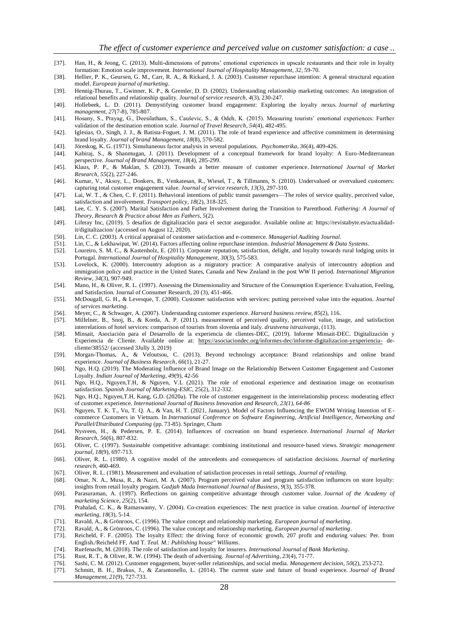- [37]. Han, H., & Jeong, C. (2013). Multi-dimensions of patrons' emotional experiences in upscale restaurants and their role in loyalty formation: Emotion scale improvement. *International Journal of Hospitality Management*, *32*, 59-70.
- [38]. Hellier, P. K., Geursen, G. M., Carr, R. A., & Rickard, J. A. (2003). Customer repurchase intention: A general structural equation model. *European journal of marketing*.
- [39]. Hennig-Thurau, T., Gwinner, K. P., & Gremler, D. D. (2002). Understanding relationship marketing outcomes: An integration of relational benefits and relationship quality. *Journal of service research*, *4*(3), 230-247.
- [40]. Hollebeek, L. D. (2011). Demystifying customer brand engagement: Exploring the loyalty nexus. *Journal of marketing management*, *27*(7-8), 785-807.
- [41]. Hosany, S., Prayag, G., Deesilatham, S., Cauševic, S., & Odeh, K. (2015). Measuring tourists' emotional experiences: Further validation of the destination emotion scale. *Journal of Travel Research*, *54*(4), 482-495.
- [42]. Iglesias, O., Singh, J. J., & Batista-Foguet, J. M. (2011). The role of brand experience and affective commitment in determining brand loyalty. *Journal of brand Management*, *18*(8), 570-582.
- [43]. Jöreskog, K. G. (1971). Simultaneous factor analysis in several populations. *Psychometrika*, *36*(4), 409-426.
- [44]. Kabiraj, S., & Shanmugan, J. (2011). Development of a conceptual framework for brand loyalty: A Euro-Mediterranean perspective. *Journal of Brand Management*, *18*(4), 285-299.
- [45]. Klaus, P. P., & Maklan, S. (2013). Towards a better measure of customer experience. *International Journal of Market Research*, *55*(2), 227-246.
- [46]. Kumar, V., Aksoy, L., Donkers, B., Venkatesan, R., Wiesel, T., & Tillmanns, S. (2010). Undervalued or overvalued customers: capturing total customer engagement value. *Journal of service research*, *13*(3), 297-310.
- [47]. Lai, W. T., & Chen, C. F. (2011). Behavioral intentions of public transit passengers—The roles of service quality, perceived value, satisfaction and involvement. *Transport policy*, *18*(2), 318-325.
- [48]. Lee, C. Y. S. (2007). Marital Satisfaction and Father Involvement during the Transition to Parenthood. *Fathering: A Journal of Theory, Research & Practice about Men as Fathers*, *5*(2).
- [49]. Liferay Inc, (2019). 5 desafíos de digitalización para el sector asegurador. Available online at: https://revistabyte.es/actualidadit/digitalizacion/ (accessed on August 12, 2020).
- [50]. Lin, C. C. (2003). A critical appraisal of customer satisfaction and e‐commerce. *Managerial Auditing Journal*.
- [51]. Lin, C., & Lekhawipat, W. (2014). Factors affecting online repurchase intention. *Industrial Management & Data Systems*.
- [52]. Loureiro, S. M. C., & Kastenholz, E. (2011). Corporate reputation, satisfaction, delight, and loyalty towards rural lodging units in Portugal. *International Journal of Hospitality Management*, *30*(3), 575-583.
- [53]. Lovelock, K. (2000). Intercountry adoption as a migratory practice: A comparative analysis of intercountry adoption and immigration policy and practice in the United States, Canada and New Zealand in the post WW II period. *International Migration Review*, *34*(3), 907-949.
- [54]. Mano, H., & Oliver, R. L. (1997). Assessing the Dimensionality and Structure of the Consumption Experience: Evaluation, Feeling, and Satisfaction. Journal of Consumer Research, 20 (3), 451-466.
- [55]. McDougall, G. H., & Levesque, T. (2000). Customer satisfaction with services: putting perceived value into the equation. *Journal of services marketing*.
- [56]. Meyer, C., & Schwager, A. (2007). Understanding customer experience. *Harvard business review*, *85*(2), 116.
- [57]. Milfelner, B., Snoj, B., & Korda, A. P. (2011). measurement of perceived quality, perceived value, image, and satisfaction interrelations of hotel services: comparison of tourists from slovenia and italy. *drustvena istrazivanja*, (113).
- [58]. Minsait, Asociación para el Desarrollo de la experiencia de clientes-DEC, (2019). Informe Minsait-DEC. Digitalización y Experiencia de Cliente. Available online at: <https://asociaciondec.org/informes-dec/informe-digitalizacion-yexperiencia-> decliente/38552/ (accessed 3Jully 3, 2019)
- [59]. Morgan-Thomas, A., & Veloutsou, C. (2013). Beyond technology acceptance: Brand relationships and online brand experience. *Journal of Business Research*, *66*(1), 21-27.
- [60]. Ngo, H.Q. (2019). The Moderating Influence of Brand Image on the Relationship Between Customer Engagement and Customer Loyalty. *Indian Journal of Marketing*, *49*(9), 42-56
- [61]. Ngo, H.Q., Nguyen,T.H, & Nguyen, V.L (2021). The role of emotional experience and destination image on ecotourism satisfaction. *Spanish Journal of Marketing-ESIC*, 25(2), 312-332.
- [62]. Ngo, H.Q., Nguyen,T.H, Kang, G.D. (2020a). The role of customer engagement in the interrelationship process: moderating effect of customer experience. *[International Journal of Business Innovation and Research,](https://www.researchgate.net/journal/1751-0252_International_Journal_of_Business_Innovation_and_Research) 23(1), 64-86*
- [63]. Nguyen, T. K. T., Vu, T. Q. A., & Van, H. T. (2021, January). Model of Factors Influencing the EWOM Writing Intention of Ecommerce Customers in Vietnam. In *International Conference on Software Engineering, Artificial Intelligence, Networking and Parallel/Distributed Computing* (pp. 73-85). Springer, Cham
- [64]. Nysveen, H., & Pedersen, P. E. (2014). Influences of cocreation on brand experience. *International Journal of Market Research*, *56*(6), 807-832.
- [65]. Oliver, C. (1997). Sustainable competitive advantage: combining institutional and resource‐based views. *Strategic management journal*, *18*(9), 697-713.
- [66]. Oliver, R. L. (1980). A cognitive model of the antecedents and consequences of satisfaction decisions. *Journal of marketing research*, 460-469.
- [67]. Oliver, R. L. (1981). Measurement and evaluation of satisfaction processes in retail settings. *Journal of retailing.*
- [68]. Omar, N. A., Musa, R., & Nazri, M. A. (2007). Program perceived value and program satisfaction influences on store loyalty: insights from retail loyalty progam. *Gadjah Mada International Journal of Business*, *9*(3), 355-378.
- [69]. Parasuraman, A. (1997). Reflections on gaining competitive advantage through customer value. *Journal of the Academy of marketing Science*, *25*(2), 154.
- [70]. Prahalad, C. K., & Ramaswamy, V. (2004). Co-creation experiences: The next practice in value creation. *Journal of interactive marketing*, *18*(3), 5-14.
- [71]. Ravald, A., & Grönroos, C. (1996). The value concept and relationship marketing. *European journal of marketing*.
- [72]. Ravald, A., & Grönroos, C. (1996). The value concept and relationship marketing. *European journal of marketing*.
- [73]. Reicheld, F. F. (2005). The loyalty Effect: the driving force of economic growth, 207 profit and enduring values: Per. from English./Reicheld FF, And T. *Teal. M.: Publishing house" Williams*.
- [74]. Ruefenacht, M. (2018). The role of satisfaction and loyalty for insurers. *International Journal of Bank Marketing*.
- [75]. Rust, R. T., & Oliver, R. W. (1994). The death of advertising. *Journal of Advertising*, *23*(4), 71-77.
- [76]. Sashi, C. M. (2012). Customer engagement, buyer-seller relationships, and social media. *Management decision*, *50*(2), 253-272.
- [77]. Schmitt, B. H., Brakus, J., & Zarantonello, L. (2014). The current state and future of brand experience. *Journal of Brand Management*, *21*(9), 727-733.